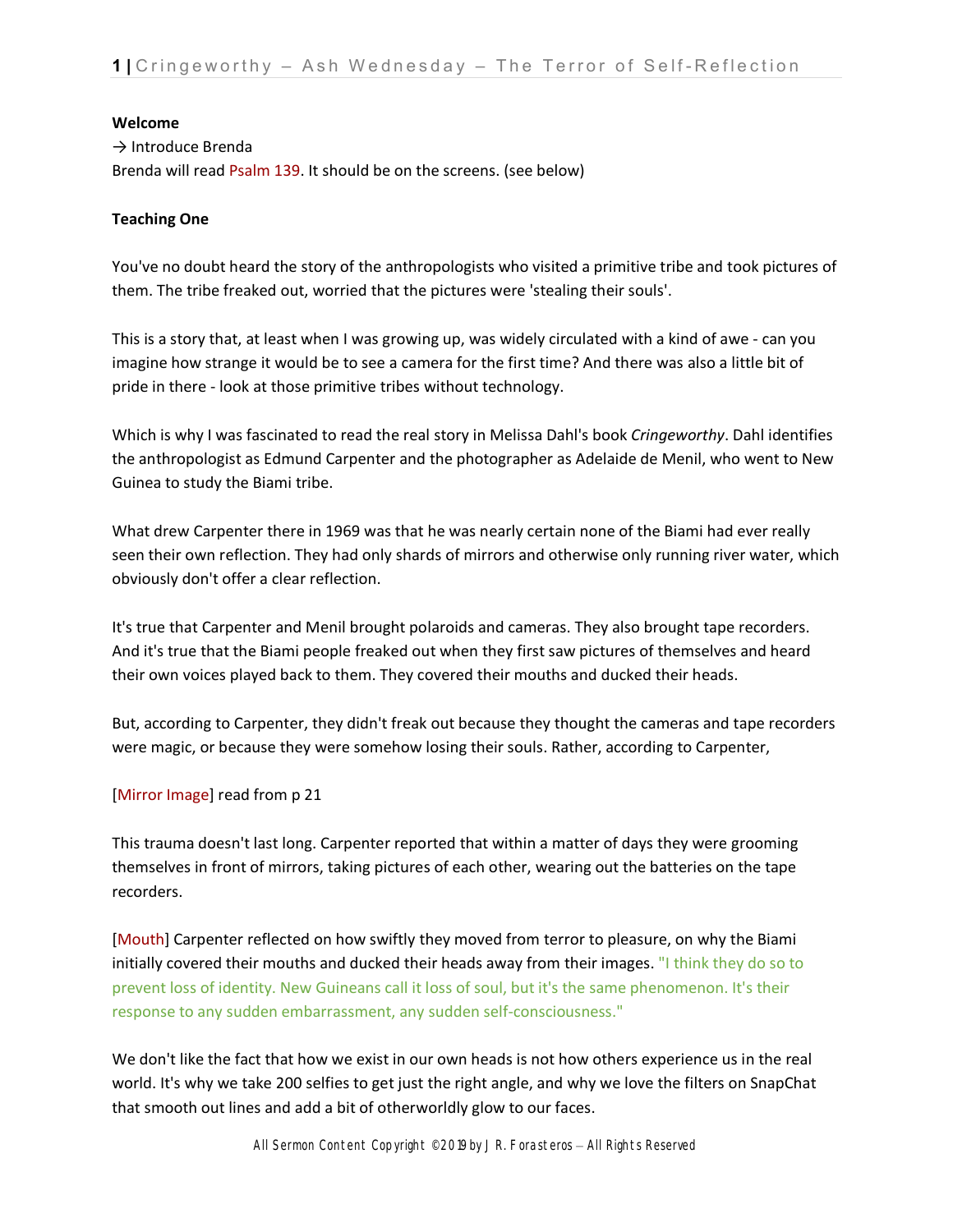#### **Welcome**

→ Introduce Brenda Brenda will read Psalm 139. It should be on the screens. (see below)

### **Teaching One**

You've no doubt heard the story of the anthropologists who visited a primitive tribe and took pictures of them. The tribe freaked out, worried that the pictures were 'stealing their souls'.

This is a story that, at least when I was growing up, was widely circulated with a kind of awe - can you imagine how strange it would be to see a camera for the first time? And there was also a little bit of pride in there - look at those primitive tribes without technology.

Which is why I was fascinated to read the real story in Melissa Dahl's book *Cringeworthy*. Dahl identifies the anthropologist as Edmund Carpenter and the photographer as Adelaide de Menil, who went to New Guinea to study the Biami tribe.

What drew Carpenter there in 1969 was that he was nearly certain none of the Biami had ever really seen their own reflection. They had only shards of mirrors and otherwise only running river water, which obviously don't offer a clear reflection.

It's true that Carpenter and Menil brought polaroids and cameras. They also brought tape recorders. And it's true that the Biami people freaked out when they first saw pictures of themselves and heard their own voices played back to them. They covered their mouths and ducked their heads.

But, according to Carpenter, they didn't freak out because they thought the cameras and tape recorders were magic, or because they were somehow losing their souls. Rather, according to Carpenter,

### [Mirror Image] read from p 21

This trauma doesn't last long. Carpenter reported that within a matter of days they were grooming themselves in front of mirrors, taking pictures of each other, wearing out the batteries on the tape recorders.

[Mouth] Carpenter reflected on how swiftly they moved from terror to pleasure, on why the Biami initially covered their mouths and ducked their heads away from their images. "I think they do so to prevent loss of identity. New Guineans call it loss of soul, but it's the same phenomenon. It's their response to any sudden embarrassment, any sudden self-consciousness."

We don't like the fact that how we exist in our own heads is not how others experience us in the real world. It's why we take 200 selfies to get just the right angle, and why we love the filters on SnapChat that smooth out lines and add a bit of otherworldly glow to our faces.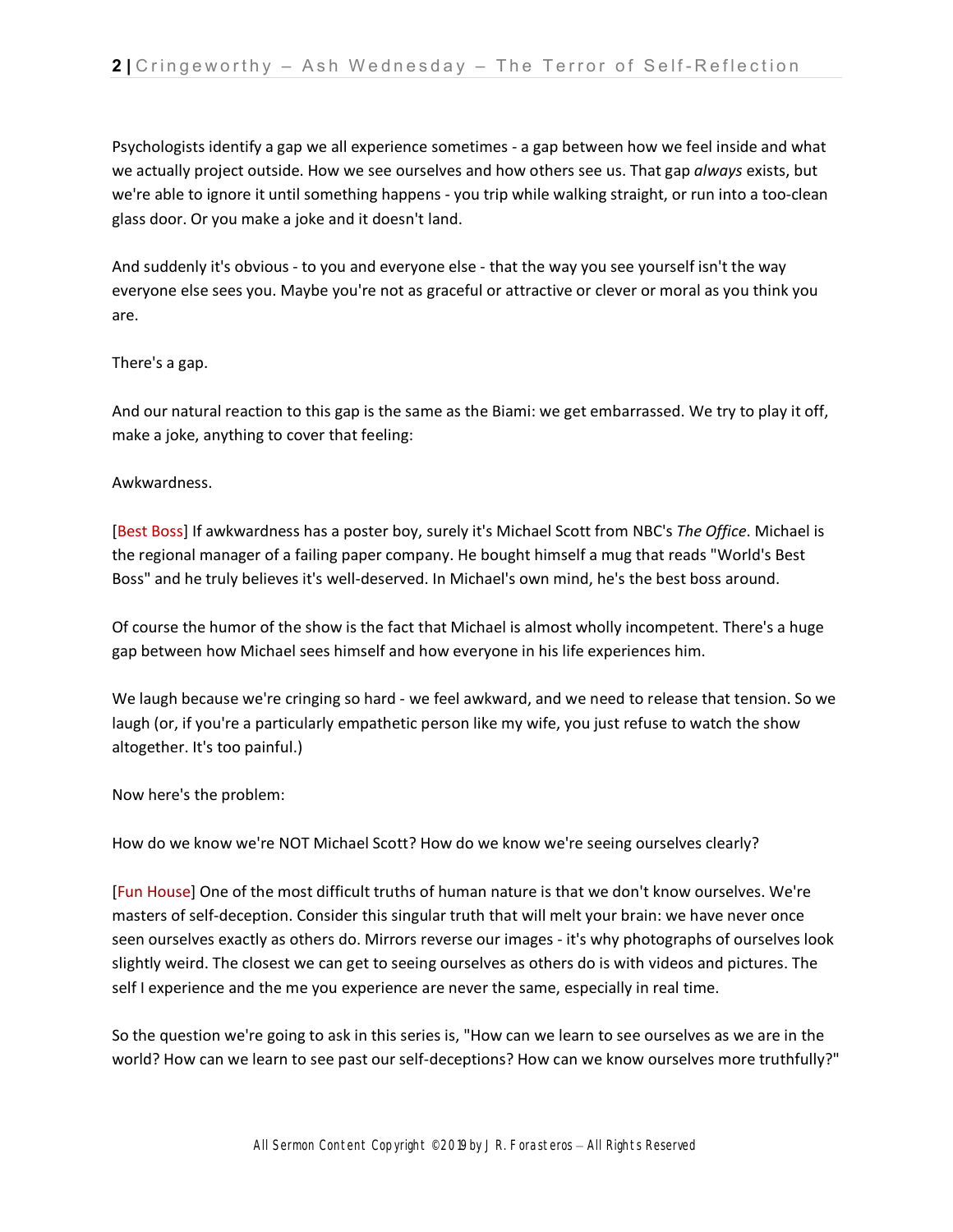Psychologists identify a gap we all experience sometimes - a gap between how we feel inside and what we actually project outside. How we see ourselves and how others see us. That gap *always* exists, but we're able to ignore it until something happens - you trip while walking straight, or run into a too-clean glass door. Or you make a joke and it doesn't land.

And suddenly it's obvious - to you and everyone else - that the way you see yourself isn't the way everyone else sees you. Maybe you're not as graceful or attractive or clever or moral as you think you are.

### There's a gap.

And our natural reaction to this gap is the same as the Biami: we get embarrassed. We try to play it off, make a joke, anything to cover that feeling:

# Awkwardness.

[Best Boss] If awkwardness has a poster boy, surely it's Michael Scott from NBC's *The Office*. Michael is the regional manager of a failing paper company. He bought himself a mug that reads "World's Best Boss" and he truly believes it's well-deserved. In Michael's own mind, he's the best boss around.

Of course the humor of the show is the fact that Michael is almost wholly incompetent. There's a huge gap between how Michael sees himself and how everyone in his life experiences him.

We laugh because we're cringing so hard - we feel awkward, and we need to release that tension. So we laugh (or, if you're a particularly empathetic person like my wife, you just refuse to watch the show altogether. It's too painful.)

Now here's the problem:

How do we know we're NOT Michael Scott? How do we know we're seeing ourselves clearly?

[Fun House] One of the most difficult truths of human nature is that we don't know ourselves. We're masters of self-deception. Consider this singular truth that will melt your brain: we have never once seen ourselves exactly as others do. Mirrors reverse our images - it's why photographs of ourselves look slightly weird. The closest we can get to seeing ourselves as others do is with videos and pictures. The self I experience and the me you experience are never the same, especially in real time.

So the question we're going to ask in this series is, "How can we learn to see ourselves as we are in the world? How can we learn to see past our self-deceptions? How can we know ourselves more truthfully?"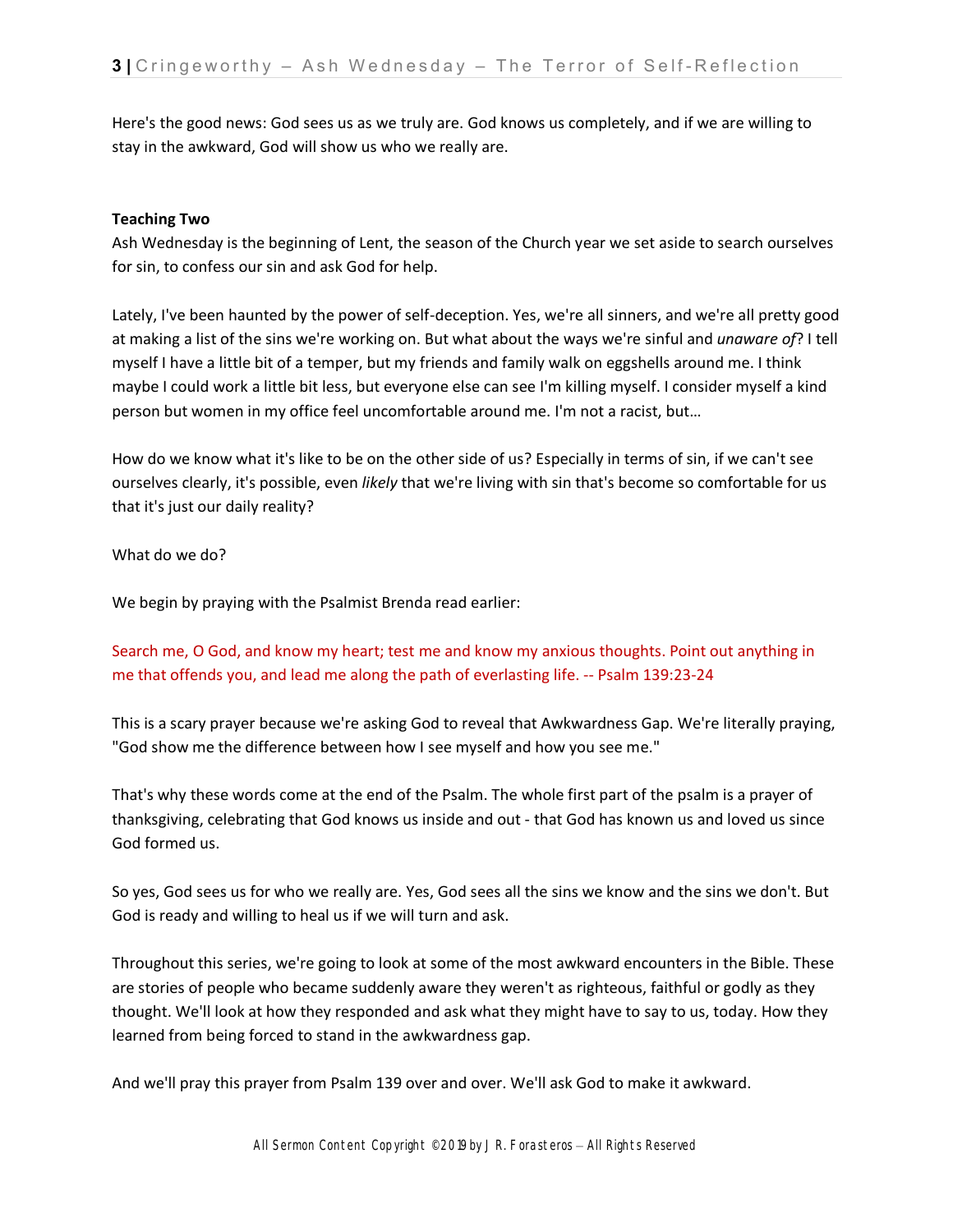Here's the good news: God sees us as we truly are. God knows us completely, and if we are willing to stay in the awkward, God will show us who we really are.

### **Teaching Two**

Ash Wednesday is the beginning of Lent, the season of the Church year we set aside to search ourselves for sin, to confess our sin and ask God for help.

Lately, I've been haunted by the power of self-deception. Yes, we're all sinners, and we're all pretty good at making a list of the sins we're working on. But what about the ways we're sinful and *unaware of*? I tell myself I have a little bit of a temper, but my friends and family walk on eggshells around me. I think maybe I could work a little bit less, but everyone else can see I'm killing myself. I consider myself a kind person but women in my office feel uncomfortable around me. I'm not a racist, but…

How do we know what it's like to be on the other side of us? Especially in terms of sin, if we can't see ourselves clearly, it's possible, even *likely* that we're living with sin that's become so comfortable for us that it's just our daily reality?

What do we do?

We begin by praying with the Psalmist Brenda read earlier:

Search me, O God, and know my heart; test me and know my anxious thoughts. Point out anything in me that offends you, and lead me along the path of everlasting life. -- Psalm 139:23-24

This is a scary prayer because we're asking God to reveal that Awkwardness Gap. We're literally praying, "God show me the difference between how I see myself and how you see me."

That's why these words come at the end of the Psalm. The whole first part of the psalm is a prayer of thanksgiving, celebrating that God knows us inside and out - that God has known us and loved us since God formed us.

So yes, God sees us for who we really are. Yes, God sees all the sins we know and the sins we don't. But God is ready and willing to heal us if we will turn and ask.

Throughout this series, we're going to look at some of the most awkward encounters in the Bible. These are stories of people who became suddenly aware they weren't as righteous, faithful or godly as they thought. We'll look at how they responded and ask what they might have to say to us, today. How they learned from being forced to stand in the awkwardness gap.

And we'll pray this prayer from Psalm 139 over and over. We'll ask God to make it awkward.